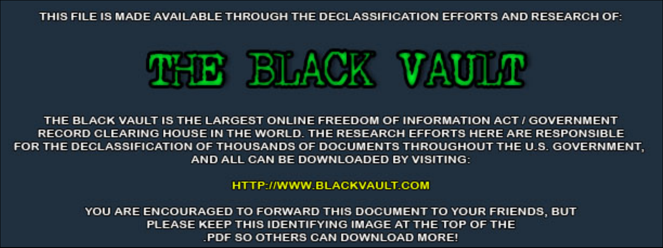THIS FILE IS MADE AVAILABLE THROUGH THE DECLASSIFICATION EFFORTS AND RESEARCH OF:



THE BLACK VAULT IS THE LARGEST ONLINE FREEDOM OF INFORMATION ACT / GOVERNMENT RECORD CLEARING HOUSE IN THE WORLD. THE RESEARCH EFFORTS HERE ARE RESPONSIBLE FOR THE DECLASSIFICATION OF THOUSANDS OF DOCUMENTS THROUGHOUT THE U.S. GOVERNMENT, AND ALL CAN BE DOWNLOADED BY VISITING:

**HTTP://WWW.BLACKVAULT.COM** 

YOU ARE ENCOURAGED TO FORWARD THIS DOCUMENT TO YOUR FRIENDS, BUT PLEASE KEEP THIS IDENTIFYING IMAGE AT THE TOP OF THE PDF SO OTHERS CAN DOWNLOAD MORE!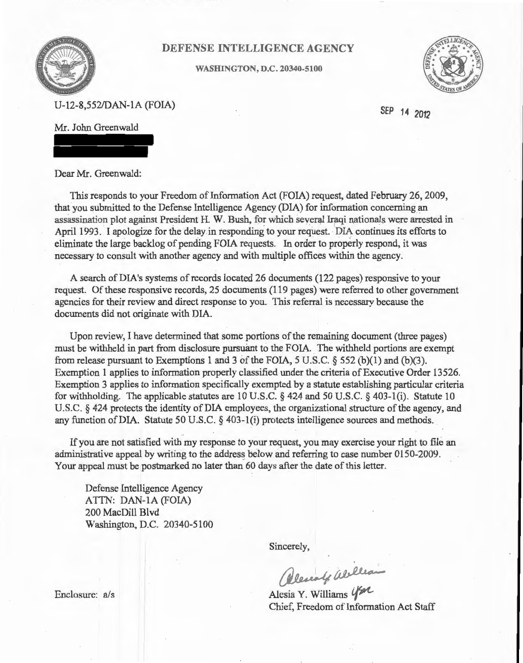

## DEFENSE INTELLIGENCE AGENCY

WASHINGTON, D.C. 20340-5100



U-12-8,552/DAN-lA (FOIA)

SEP 14 2012

Mr. John Greenwald

Dear Mr. Greenwald:

This responds to your Freedom of Information Act (FOIA) request, dated February 26, 2009, that you submitted to the Defense Intelligence Agency (DIA) for information concerning an assassination plot against President H. W. Bush, for which several Iraqi nationals were arrested in April 1993. I apologize for the delay in responding to your request. DIA continues its efforts to eliminate the large backlog of pending FOIA requests. In order to properly respond, it was necessary to consult with another agency and with multiple offices within the agency.

A search of DIA's systems of records located 26 documents (122 pages) responsive to your request. Of these responsive records, 25 documents (119 pages) were referred to other government agencies for their review and direct response to you. This referral is necessary because the documents did not originate with DIA.

Upon review, I have determined that some portions of the remaining document (three pages) must be withheld in part from disclosure pursuant to the FOIA. The withheld portions are exempt from release pursuant to Exemptions 1 and 3 of the FOIA, 5 U.S.C.  $\S$  552 (b)(1) and (b)(3). Exemption 1 applies to information properly classified under the criteria of Executive Order 13526. Exemption 3 applies to information specifically exempted by a statute establishing particular criteria for withholding. The applicable statutes are 10 U.S.C. § 424 and 50 U.S.C. § 403-1(i). Statute 10 U.S.C. § 424 protects the identity of DIA employees, the organizational structure of the agency, and any function ofDIA. Statute 50 U.S.C. § 403-l(i) protects intelligence sources and methods.

If you are not satisfied with my response to your request, you may exercise your right to file an administrative appeal by writing to the address below and referring to case number 0150-2009. Your appeal must be postmarked no later than 60 days after the date of this letter.

Defense Intelligence Agency ATTN: DAN-IA (FOIA) 200 MacDill Blvd Washington, D.C. 20340-5100

Sincerely,

Sincerely,<br>Clement Weillean

 $Y.$  Williams  $450$ Chief, Freedom of Information Act Staff

Enclosure: a/s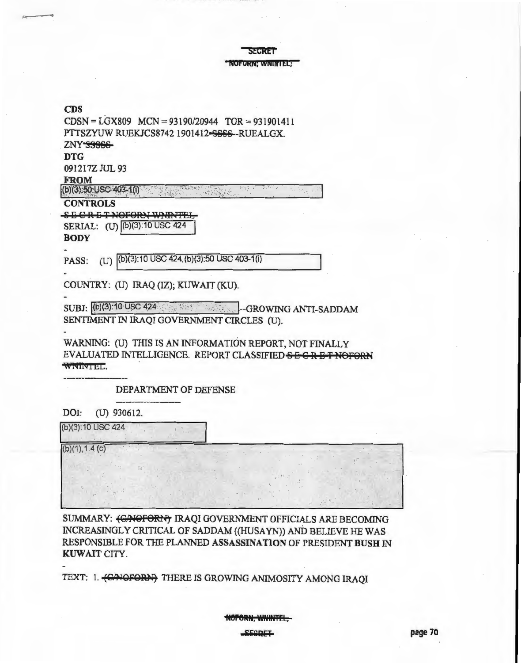**SECRET** 

NOFORN; WNIN I El;

## CDS

| $CDSN = LGX809$ $MCN = 93190/20944$ $TOR = 931901411$     |
|-----------------------------------------------------------|
| PTTSZYUW RUEKJCS8742 1901412-SSSS--RUEALGX.               |
| ZNY SSSSS-                                                |
| <b>DTG</b>                                                |
| 091217Z JUL 93                                            |
| <b>FROM</b>                                               |
| $(b)(3)50$ USO 403-1(i)                                   |
| <b>CONTROLS</b>                                           |
| <b>SECRETNOFORNW</b>                                      |
| SERIAL: (U) (b)(3):10 USC 424                             |
| <b>BODY</b>                                               |
|                                                           |
| (U) (b)(3):10 USC 424, (b)(3):50 USC 403-1(i)<br>PASS:    |
|                                                           |
| COUNTRY: (U) IRAQ (IZ); KUWAIT (KU).                      |
|                                                           |
| SUBJ: (b)(3):10 USC 424 24 Contract J-GROWING ANTI-SADDAM |
| SENTIMENT IN IRAQI GOVERNMENT CIRCLES (U).                |
|                                                           |
| WARNING: (U) THIS IS AN INFORMATION REPORT, NOT FINALLY   |
| EVALUATED INTELLIGENCE. REPORT CLASSIFIED SECRET!         |
| WINDER J.                                                 |
| DEPARTMENT OF DEFENSE                                     |
|                                                           |
| DOI:<br>(U) 930612.                                       |
| (b)(3):10 USC 424                                         |
|                                                           |
| (b)(1), 1.4(c)                                            |
|                                                           |
|                                                           |
|                                                           |
|                                                           |

SUMMARY: (CAOFORIT) IRAQI GOVERNMENT OFFICIALS ARE BECOMING INCREASINGLY CRITICAL OF SADDAM ((HUSA YN)) AND BELIEVE HE WAS RESPONSIDLE FOR THE PLANNED ASSASSINATION OF PRESIDENT BUSH IN KUWAIT CITY.

TEXT: 1. (CANOFORN) THERE IS GROWING ANIMOSITY AMONG IRAQI

NOPORN, WNINTEL,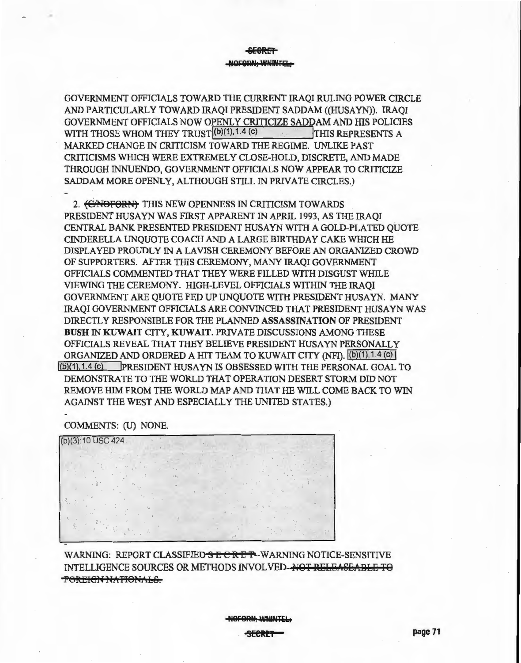**&£8RET NQFQAN,** WNINUb,

GOVERNMENT OFFICIALS TOWARD THE CURRENT IRAQI RULING POWER CIRCLE AND PARTICULARLY TOWARD IRAQI PRESIDENT SADDAM ((HUSAYN)). IRAQI GOVERNMENT OFFICIALS NOW OPENLY CRITICIZE SADDAM AND HIS POLICIES<br>WITH THOSE WHOM THEY TRUST<sup>[(b)(1),1,4</sup> <sup>(c)</sup><br>THIS REPRESENTS A WITH THOSE WHOM THEY TRUST (b)(1), 1.4 (c) MARKED CHANGE IN CRITICISM TOWARD THE REGIME. UNLIKE PAST CRITICISMS WHICH WERE EXTREMELY CLOSE-HOLD, DISCRETE, AND MADE THROUGH INNUENDO, GOVERNMENT OFFICIALS NOW APPEAR TO CRITICIZE SADDAM MORE OPENLY, ALTHOUGH STILL IN PRIVATE CIRCLES.)

2. <del>(CANOFORN)</del> THIS NEW OPENNESS IN CRITICISM TOWARDS PRESIDENT HUSAYN WAS FIRST APPARENT IN APRIL 1993, AS THE IRAQI CENTRAL BANK PRESENTED PRESIDENT HUSAYN WITH A GOLD-PLATED OUOTE CINDERELLA UNQUOTE COACH AND A LARGE BIRTHDAY CAKE WIDCH HE DISPLAYED PROUDLY IN A LAVISH CEREMONY BEFORE AN ORGANIZED CROWD OF SUPPORTERS. AFTER THIS CEREMONY, MANY IRAQI GOVERNMENT OFFICIALS COMMENTED THAT THEY WERE FILLED WITH DISGUST WHILE VIEWING THE CEREMONY. HIGH-LEVEL OFFICIALS WITHIN THE IRAQI GOVERNMENT ARE QUOTE FED UP UNQUOTE WITH PRESIDENT HUSA YN. MANY IRAQI GOVERNMENT OFFICIALS ARE CONVINCED THAT PRESIDENT HUSA YN WAS DIRECTLY RESPONSIBLE FOR THE PLANNED ASSASSINATION OF PRESIDENT BUSH IN KUWAIT CITY, KUWAIT. PRIVATE DISCUSSIONS AMONG THESE OFFICIALS REVEAL THAT THEY BELIEVE PRESIDENT HUSA YN PERSONALLY ORGANIZED AND ORDERED A HIT TEAM TO KUWAIT CITY (NFI). (b)(1), 1.4 (c) I lib)(1 ). 1.4 (c) IPRESIDENT HUSA YN IS OBSESSED WITH THE PERSONAL GOAL TO DEMONSTRATE TO THE WORLD THAT OPERATION DESERT STORM DID NOT REMOVE HIM FROM THE WORLD MAP AND THAT HE WILL COME BACK TO WIN AGAINST THE WEST AND ESPECIALLY THE UNITED STATES.)

COMMENTS: (U) NONE.

(b)(3):10 USC 424

WARNING: REPORT CLASSIFIED SECRET-WARNING NOTICE-SENSITIVE INTELLIGENCE SOURCES OR METHODS INVOLVED-NOT RELEASEABLE TO **FOREIGN NATIONALS.** 

**NBF8AN, WININTE**